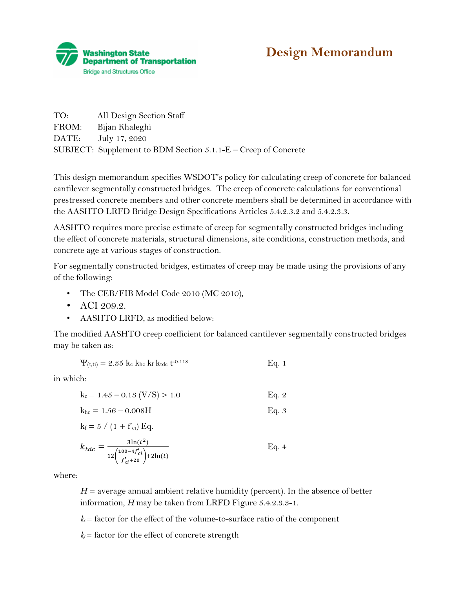

## **Design Memorandum**

| TO:   | All Design Section Staff                                         |
|-------|------------------------------------------------------------------|
| FROM: | Bijan Khaleghi                                                   |
|       | DATE: July 17, 2020                                              |
|       | SUBJECT: Supplement to BDM Section $5.1.1-E$ – Creep of Concrete |

This design memorandum specifies WSDOT's policy for calculating creep of concrete for balanced cantilever segmentally constructed bridges. The creep of concrete calculations for conventional prestressed concrete members and other concrete members shall be determined in accordance with the AASHTO LRFD Bridge Design Specifications Articles 5.4.2.3.2 and 5.4.2.3.3.

AASHTO requires more precise estimate of creep for segmentally constructed bridges including the effect of concrete materials, structural dimensions, site conditions, construction methods, and concrete age at various stages of construction.

For segmentally constructed bridges, estimates of creep may be made using the provisions of any of the following:

- The CEB/FIB Model Code 2010 (MC 2010),
- ACI 209.2.
- AASHTO LRFD, as modified below:

The modified AASHTO creep coefficient for balanced cantilever segmentally constructed bridges may be taken as:

$$
\Psi_{(t,ti)} = 2.35 \, k_c \, k_{hc} \, k_f \, k_{tdc} \, t^{-0.118} \tag{Eq. 1}
$$

in which:

$$
k_c = 1.45 - 0.13 \text{ (V/S)} > 1.0 \qquad \text{Eq. 2}
$$

$$
k_{hc} = 1.56 - 0.008H
$$
 Eq. 3

$$
k_f = 5 / (1 + f_{ci}) Eq.
$$

$$
k_{tdc} = \frac{3\ln(t^2)}{12\left(\frac{100-4f'_{ci}}{f'_{ci}+20}\right)+2\ln(t)}
$$
 Eq. 4

where:

 $H =$  average annual ambient relative humidity (percent). In the absence of better information, *H* may be taken from LRFD Figure 5.4.2.3.3-1.

 $k =$  factor for the effect of the volume-to-surface ratio of the component

 $k_f$  = factor for the effect of concrete strength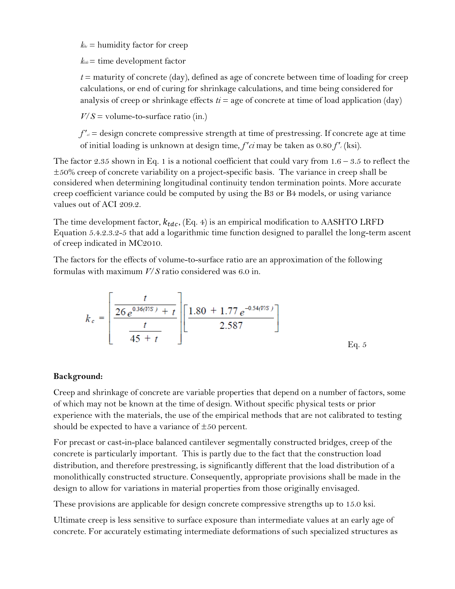$k_{he}$  = humidity factor for creep

 $k_{tdc}$ = time development factor

 $t =$  maturity of concrete (day), defined as age of concrete between time of loading for creep calculations, or end of curing for shrinkage calculations, and time being considered for analysis of creep or shrinkage effects  $t_i = \text{age of concrete at time of load application (day)}$ 

 $V/S =$  volume-to-surface ratio (in.)

 $f'$ <sup> $\alpha$ </sup> = design concrete compressive strength at time of prestressing. If concrete age at time of initial loading is unknown at design time, *f* ′*ci* may be taken as 0.80 *f* ′*<sup>c</sup>* (ksi).

The factor 2.35 shown in Eq. 1 is a notional coefficient that could vary from  $1.6 - 3.5$  to reflect the  $\pm 50\%$  creep of concrete variability on a project-specific basis. The variance in creep shall be considered when determining longitudinal continuity tendon termination points. More accurate creep coefficient variance could be computed by using the B3 or B4 models, or using variance values out of ACI 209.2.

The time development factor,  $k_{tdc}$ , (Eq. 4) is an empirical modification to AASHTO LRFD Equation 5.4.2.3.2-5 that add a logarithmic time function designed to parallel the long-term ascent of creep indicated in MC2010.

The factors for the effects of volume-to-surface ratio are an approximation of the following formulas with maximum *V*/*S* ratio considered was 6.0 in.

$$
k_c = \left[\frac{\frac{t}{26 e^{0.36(V/S)} + t}}{\frac{t}{45 + t}}\right] \left[\frac{1.80 + 1.77 e^{-0.54(V/S)}}{2.587}\right]
$$
Eq. 5

## **Background:**

Creep and shrinkage of concrete are variable properties that depend on a number of factors, some of which may not be known at the time of design. Without specific physical tests or prior experience with the materials, the use of the empirical methods that are not calibrated to testing should be expected to have a variance of  $\pm 50$  percent.

For precast or cast-in-place balanced cantilever segmentally constructed bridges, creep of the concrete is particularly important. This is partly due to the fact that the construction load distribution, and therefore prestressing, is significantly different that the load distribution of a monolithically constructed structure. Consequently, appropriate provisions shall be made in the design to allow for variations in material properties from those originally envisaged.

These provisions are applicable for design concrete compressive strengths up to 15.0 ksi.

Ultimate creep is less sensitive to surface exposure than intermediate values at an early age of concrete. For accurately estimating intermediate deformations of such specialized structures as